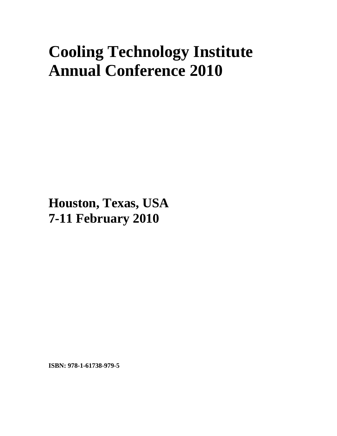## **Cooling Technology Institute Annual Conference 2010**

**Houston, Texas, USA 7-11 February 2010**

**ISBN: 978-1-61738-979-5**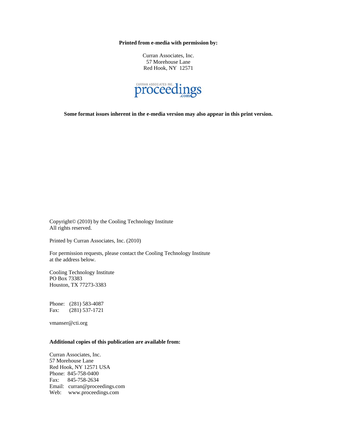**Printed from e-media with permission by:** 

Curran Associates, Inc. 57 Morehouse Lane Red Hook, NY 12571



**Some format issues inherent in the e-media version may also appear in this print version.** 

Copyright© (2010) by the Cooling Technology Institute All rights reserved.

Printed by Curran Associates, Inc. (2010)

For permission requests, please contact the Cooling Technology Institute at the address below.

Cooling Technology Institute PO Box 73383 Houston, TX 77273-3383

Phone: (281) 583-4087 Fax: (281) 537-1721

vmanser@cti.org

## **Additional copies of this publication are available from:**

Curran Associates, Inc. 57 Morehouse Lane Red Hook, NY 12571 USA Phone: 845-758-0400 Fax: 845-758-2634 Email: curran@proceedings.com Web: www.proceedings.com